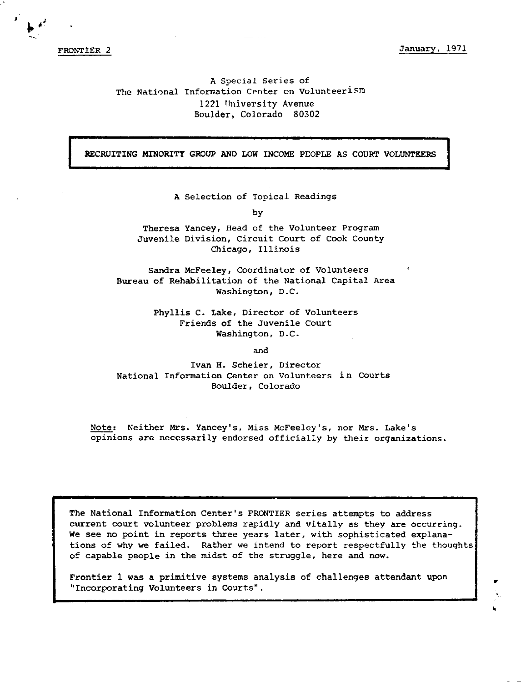FRONTIER 2

January, 1971

# A Special Series of The National Information Center on Volunteerism 1221 University Avenue Boulder, Colorado 80302

RECRDITING MINORITY GROUP AND LOW INCOME PEOPLE AS COURT VOLUNTEERS

A Selection of Topical Readings

by

Theresa Yancey, Head of the Volunteer Program Juvenile Division, Circuit Court of Cook County Chicago, Illinois

Sandra McFeeley, Coordinator of Volunteers Bureau of Rehabilitation of the National Capital Area Washington, D.C.

> Phyllis c. Lake, Director of Volunteers Friends of the Juvenile Court Washington, D.C.

> > and

Ivan H. Scheier, Director National Information Center on Volunteers in Courts Boulder, Colorado

Note: Neither Mrs. Yancey's, Miss McFeeley's, nor Mrs. Lake's opinions are necessarily endorsed officially by their organizations.

The National Information Center's FRONTIER series attempts to address current court volunteer problems rapidly and vitally as they are occurring. We see no point in reports three years later, with sophisticated explanations of why we failed. Rather we intend to report respectfully the thoughts of capable people in the midst of the struggle, here and now.

Frontier 1 **was a** primitive systems analysis of challenges attendant upon "Incorporating Volunteers in courts".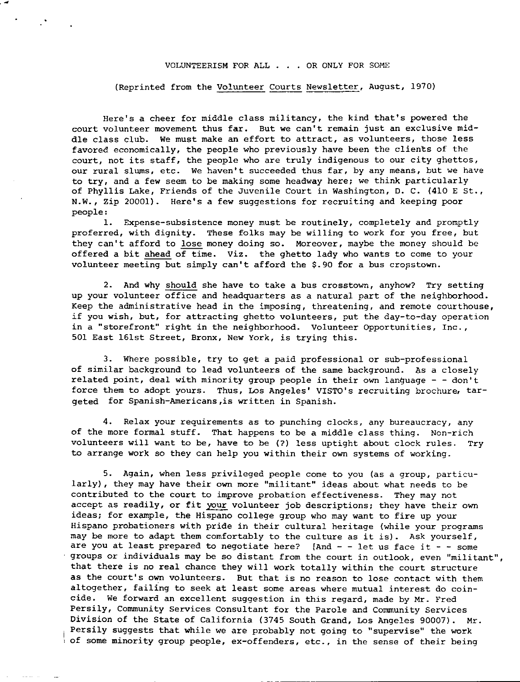## VOLUNTEERISM FOR ALL ... OR ONLY FOR SOME

(Reprinted from the Volunteer Courts Newsletter, August, 1970)

Here's a cheer for middle class militancy, the kind that's powered the **court volunteer movement thus far. But we can't remain just an exclusive mid**dle class club. We must make an effort to attract, as volunteers, those less favored economically, the people who previously have been the clients of the court, not its staff, the people who are truly indigenous to our city ghettos, **our rural slums, etc. We haven't succeeded thus far, by any means, but we have**  to try, and a few seem to be making some headway here; we think particularly of Phyllis Lake, Friends of the Juvenile Court in Washington, D. C. (410 E St., **N.W.,** Zip 20001). Here's a few suggestions for recruiting and keeping poor people:

1. Expense-subsistence money must be routinely, completely and promptly proferred, with dignity. These folks may be willing to work for you free, but they can't afford to lose money doing so. Moreover, maybe the money should be offered a bit ahead of time. Viz. the ghetto lady who wants to come to your volunteer meeting but simply can't afford the \$.90 for a bus cropstown.

2. And why should she have to take a bus crosstown, anyhow? Try setting up your volunteer office and headquarters as a natural part of the neighborhood. Keep the administrative head in the imposing, threatening, and remote courthouse, if you wish, but, for attracting ghetto volunteers, put the day-to-day operation in a "storefront" right in the neighborhood. Volunteer Opportunities, Inc., 501 East 161st Street, Bronx, New York, is trying this.

3. Where possible, try to get a paid professional or sub-professional of similar background to lead volunteers of the same background. As a closely related point, deal with minority group people in their own language - - don't force them to adopt yours. Thus, Los Angeles' VISTO's recruiting brochure, targeted for Spanish-Americans,is written in Spanish.

**4. Relax your requirements as to punching clocks, any bureaucracy, any**  of the more formal stuff. That happens to be a middle class thing. Non-rich volunteers will want to be, have to be (?) less uptight about clock rules. Try to arrange work so they can help you within their own systems of working.

5. Again, when less privileged people come to you (as a group, particu**larly), they may have their own more "militant" ideas about what needs** to be contributed to the court to improve probation effectiveness. They may not accept as readily, or fit your volunteer job descriptions; they have their own ideas; for example, the Hispano college group who may want to fire up your Hispano probationers with pride in their cultural heritage (while your programs may be more to adapt them comfortably to the culture as it is). Ask yourself, are you at least prepared to negotiate here? [And  $-$  - let us face it - - some **groups or individuals may be so distant from the court in outlook, even "militant",**  that there is no real chance they will work totally within the court structure as the court's own volunteers. But that is no reason to lose contact with them altogether, failing to seek at least some areas where mutual interest do coincide. We forward an excellent suggestion in this regard, made by Mr. Fred Persily, Community Services Consultant for the Parole and Community Services Division of the State of California (3745 South Grand, Los Angeles 90007). Mr. Persily suggests that while we are probably not going to "supervise" the work of some minority group people, ex-offenders, etc., in the sense of their being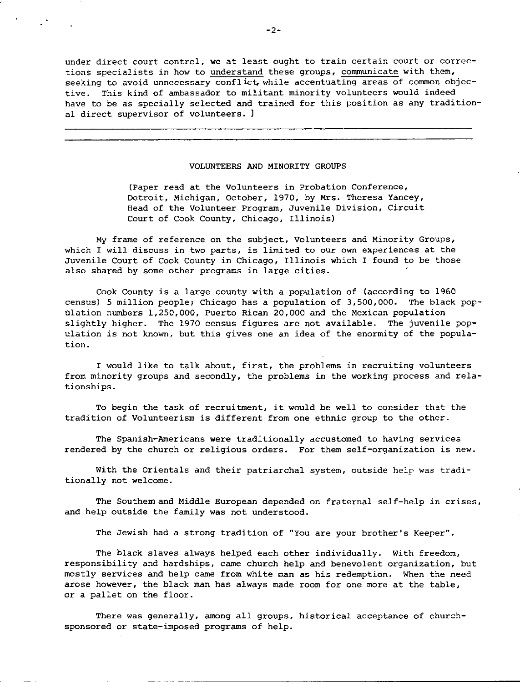**under direct court control, we at least ought to train certain court or correc**tions specialists in how to understand these groups, communicate with them, seeking to avoid unnecessary conflict, while accentuating areas of common objective. This kind of ambassador to militant minority volunteers would indeed have to be as specially selected and trained for this position as any traditional direct supervisor of volunteers. l

#### VOLUNTEERS AND MINORITY GROUPS

(Paper read at the Volunteers in Probation Conference, Detroit, Michigan, October, 1970, by **Mrs.** Theresa Yancey, **Head of the Volunteer Program, Juvenile Division, Circuit**  Court of Cook County, Chicago, Illinois)

My frame of reference on the subject, Volunteers and Minority Groups, which I will discuss in two parts, is limited to our own experiences at the Juvenile Court of Cook County in Chicago, Illinois which I found to be those also shared by some other programs in large cities.

Cook County is a large county with a population of (according to 1960 census) 5 million people; Chicago has a population of 3,500,000. The black pop-Olation numbers 1,250,000, Puerto Rican 20,000 and the Mexican population slightly higher. The 1970 census figures are not available. The juvenile population is not known, but this gives one an idea of the enormity of the population.

I would like to talk about, first, the problems in recruiting volunteers from minority groups and secondly, the problems in the working process and relationships.

To begin the task of recruitment, it would be well to consider that the tradition of Volunteerism is different from one ethnic group to the other.

The Spanish-Americans were traditionally accustomed to having services rendered by the church or religious orders. For them self-organization is new.

With the Orientals and their patriarchal system, outside help was traditionally not welcome.

The Southemand Middle European depended on fraternal self-help in crises, and help outside the family was not understood.

**The Jewish had a strong tradition of "You are your brother's Keeper".** 

The black slaves always helped each other individually. With freedom, responsibility and hardships, came church help and benevolent organization, but mostly services and help came from white man as his redemption. When the need arose however, the black man has always made room for one more at the table, or a pallet on the floor.

There was generally, among all groups, historical acceptance of churchsponsored or state-imposed programs of help.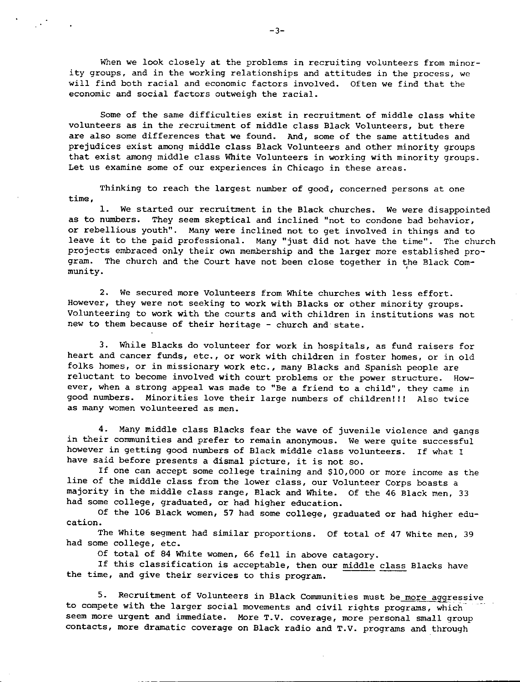When we look closely at the problems in recruiting volunteers from minority groups, and in the working relationships and attitudes in the process, we will find both racial and economic factors involved. Often we find that the economic and social factors outweigh the racial.

Some of the same difficulties exist in recruitment of middle class white volunteers as in the recruitment of middle class Black Volunteers, but there are also some differences that we found. And, some of the same attitudes and prejudices exist among middle class Black Volunteers and other minority groups that exist among middle class White Volunteers in working with minority groups. **Let us examine some of our experiences in Chicago in these areas.** 

Thinking to reach the largest number of good, concerned persons at one **time,** 

1. We started our recruitment in the Black churches. We were disappointed as to numbers. They seem skeptical and inclined "not to condone bad behavior, or rebellious youth". Many were inclined not to get involved in things and to leave it to the paid professional. Many "just did not have the time". The church projects embraced only their own membership and the larger more established program. The church and the Court have not been close together in the Black Com-<br>munity. munity.

2. We secured more Volunteers from White churches with less effort. However, they were not seeking to work with Blacks or other minority groups. Volunteering to work with the courts and with children in institutions was not new to them because of their heritage - church and state.

3. While Blacks do volunteer for work in hospitals, as fund raisers for heart and cancer funds, etc., or work with children in foster homes, or in old folks homes, or in missionary work etc., many Blacks and Spanish people are reluctant to become involved with court problems or the power structure. How**ever, when a strong appeal was made to "Be a friend to a child", they came in**  good numbers. Minorities love their large numbers of children!!! Also twice **as many women volunteered as men.** 

4. Many middle class Blacks fear the wave of juvenile violence and gangs **in their conununities and prefer to remain anonymous. We were quite successful**  however in getting good numbers of Black middle class volunteers. If what I have said before presents a dismal picture, it is not so.

If one can accept some college training and \$10,000 or more income as the line of the middle class from the lower class, our Volunteer Corps boasts a majority in the middle class range, Black and White. Of the 46 Black men, 33 had some college, graduated, or had higher education.

Of the 106 Black women, 57 had some college, graduated or had higher edu**cation.** 

The White segment had similar proportions. Of total of 47 White men, 39 had some college, etc.

Of total of 84 White women, 66 fell in above catagory.

If this classification is acceptable, then our middle class Blacks have the time, and give their services to this program.

5. Recruitment of Volunteers in Black Communities must be more aggressive to compete with the larger social movements and civil rights programs, which seem more urgent and immediate. More T.V. coverage, more personal small group contacts, more dramatic coverage on Black radio and T.V. programs and through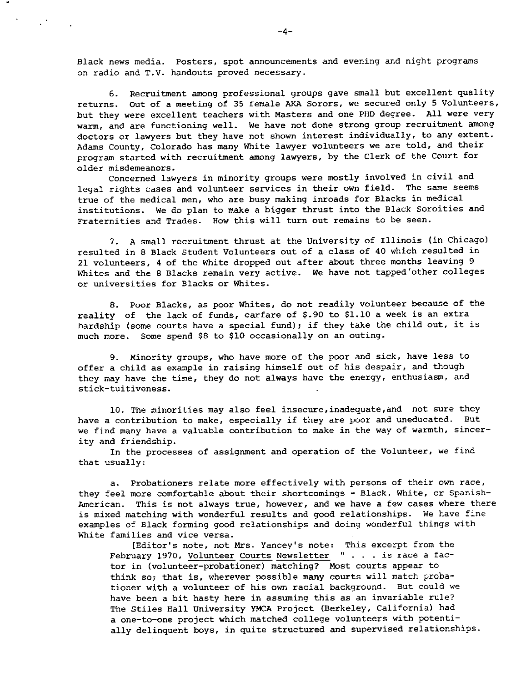**Black news media. Posters, spot announcements and evening and night programs**  on radio and T.V. handouts proved necessary.

6. Recruitment among professional groups gave small but excellent quality returns. Out of a meeting of 35 female AKA Sorors, we secured only 5 Volunteers, but they were excellent teachers with Masters and one PHD degree. All were very warm, and are functioning well. We have not done strong group recruitment among doctors or lawyers but they have not shown interest individually, to any extent. Adams County, Colorado has many White lawyer volunteers we are told, and their program started with recruitment among lawyers, by the Clerk of the Court for **older misdemeanors.** 

Concerned lawyers in minority groups were mostly involved in civil and legal rights cases and volunteer services in their own field. The same seems true of the medical men, who are busy making inroads for Blacks in medical institutions. We do plan to make a bigger thrust into the Black Soroities and Fraternities and Trades. How this will turn out remains to be seen.

7. A small recruitment thrust at the University of Illinois (in Chicago) resulted in 8 Black Student Volunteers out of a class of 40 which resulted in 21 volunteers, 4 of the White dropped out after about three months leaving 9 Whites and the 8 Blacks remain very active. We have not tapped'other colleges **or universities for Blacks or Whites.** 

8. Poor Blacks, as poor Whites, do not readily volunteer because of the reality of the lack of funds, carfare of \$.90 to \$1.10 a week is an extra hardship (some courts have a special fund); if they take the child out, it is much more. Some spend \$8 to \$10 occasionally on an outing.

9. Minority groups, who have more of the poor and sick, have less to offer a child as example in raising himself out of his despair, and though they may have the time, they do not always have the energy, enthusiasm, and **stick-tuitiveness.** 

10. The minorities may also feel insecure,inadequate,and not sure they have a contribution to make, especially if they are poor and uneducated. But we find many have a valuable contribution to make in the way of warmth, sincerity and friendship.

In the processes of assignment and operation of the Volunteer, we find that usually:

a. Probationers relate more effectively with persons of their own race, they feel more comfortable about their shortcomings - Black, White, or Spanish-**American. This is not always true, however, and we have a few cases where there**  is mixed matching with wonderful results and good relationships. We have fine examples of Black forming good relationships and doing wonderful things with **White families and vice versa.** 

[Editor's note, not Mrs. Yancey's note: This excerpt from the February 1970, Volunteer Courts Newsletter " . . . is race a factor in (volunteer-probationer) matching? Most courts appear to think so; that is, wherever possible many courts will match probationer with a volunteer of his own racial background. But could we have been a bit hasty here in assuming this as an invariable rule? The Stiles Hall University YMCA Project (Berkeley, California) had a one-to-one project which matched college volunteers with potentially delinquent boys, in quite structured and supervised relationships.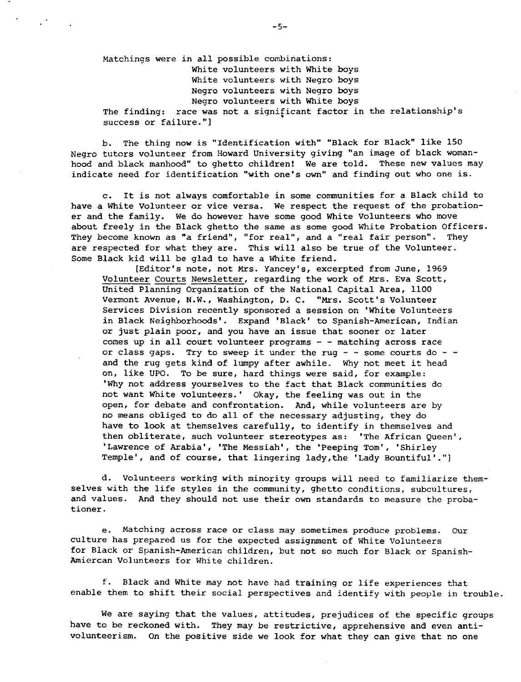Matchings were in all possible combinations: White volunteers with White boys White volunteers with Negro boys Negro volunteers with Negro boys Negro volunteers with White boys The finding: race was not a significant factor in the relationship's • **success or failure."]** 

b. The thing now is "Identification with" "Black for Black" like 150 Negro tutors volunteer from Howard University giving "an image of black womanhood and black manhood" to ghetto children! We are told. These new values may **indicate need for identification "with one's own" and finding out who one is.** 

c. It is not always comfortable in some communities for a Black child to have a White Volunteer or vice versa. We respect the request of the probationer and the family. We do however have some good White Volunteers who move about freely in the Black ghetto the same as some good White Probation Officers. **They become known as "a friend", "for real", and a "real fair person". They**  are respected for what they are. This will also be true of the Volunteer. Some Black kid will be glad to have a White friend.

[Editor's note, not Mrs. Yancey's, excerpted from June, 1969 Volunteer Courts Newsletter, regarding the work of Mrs. Eva Scott, United Planning Organization of the National Capital Area, 1100 **Vermont Avenue, N.W., Washington, D. c. "Mrs. Scott's Volunteer Services Division recently sponsored a session on 'White Volunteers**  in Black Neighborhoods'. Expand 'Black' to Spanish-American, Indian or just plain poor, and you have an issue that sooner or later comes up in all court volunteer programs  $-$  - matching across race or class gaps. Try to sweep it under the rug - - some courts do -  $$ and the rug gets kind of lumpy after awhile. Why not meet it head on, like UPO. To be sure, hard things were said, for example: 'Why not address yourselves to the fact that Black communities do not want White volunteers.' Okay, the feeling was out in the open, for debate and confrontation. And, while volunteers are by no means obliged to do all of the necessary adjusting, they do have to **look** at themselves carefully, to identify in themselves and then obliterate, such volunteer stereotypes as: 'The African Queen', 'Lawrence of Arabia', 'The Messiah', the 'Peeping Tom', 'Shirley Temple', and of course, that lingering lady, the 'Lady Bountiful'.")

d. Volunteers working with minority groups will need to familiarize themselves with the life styles in the community, ghetto conditions, subcultures, and values. And they should not use their own standards to measure the proba**tioner.** 

**e. Matching across race or class may sometimes produce problems. Our**  culture has prepared us for the expected assignment of White Volunteers for Black or Spanish-American children, but not so much for Black or Spanish-Amiercan Volunteers for White children.

f. Black and White may not have had training or life experiences that enable them to shift their social perspectives and identify with people in trouble.

We are saying that the values, attitudes, prejudices of the specific groups have to be reckoned with. They may be restrictive, apprehensive and even antivolunteerism. on the positive side we look for what they can give that no one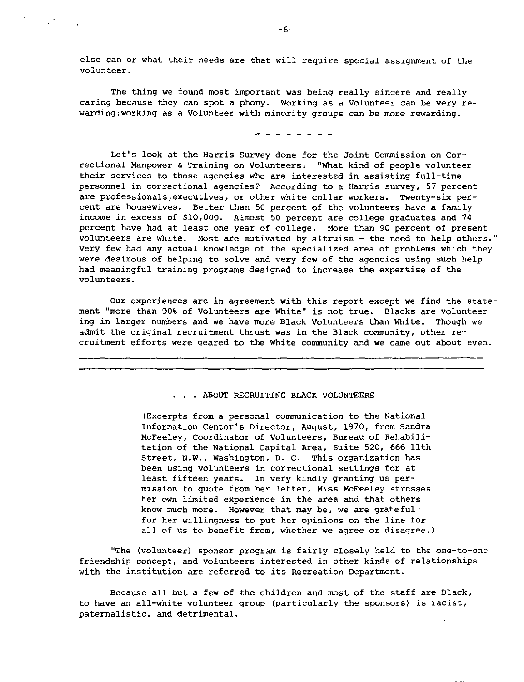else can or what their needs are that will require special assignment of the volunteer.

The thing we found most important was being really sincere and really caring because they can spot a phony. Working as a Volunteer can be very rewarding;working as a Volunteer with minority groups can be more rewarding.

- - - - - - - -

Let's look at the Harris survey done for the Joint Commission on Correctional Manpower & Training on Volunteers: "What kind of people volunteer their services to those agencies who are interested in assisting full-time **personnel in correctional agencies? According to a Harris survey, 57 percent are professionals,executives, or other white collar workers. Twenty-six per**cent are housewives. Better than 50 percent of the volunteers have a family income in excess of \$10,000. Almost 50 percent are college graduates and 74 percent have had at least one year of college. More than 90 percent of present volunteers are White. Most are motivated by altruism - the need to help others." Very few had any actual knowledge of the specialized area of problems which they were desirous of helping to solve and very few of the agencies using such help had meaningful training programs designed to increase the expertise of the volunteers.

Our experiences are in agreement with this report except we find the statement "more than 90\ of Volunteers are White" is not true. Blacks are volunteering in larger numbers and we have more Black Volunteers than White. Though we admit the original recruitment thrust was in the Black community, other recruitment efforts were geared to the White community and we came out about even .

### . ABOUT RECRUITING BLACK VOLUNTEERS

(Excerpts from a personal communication to the National Information Center's Director, August, 1970, from Sandra McFeeley, Coordinator of Volunteers, Bureau of Rehabilitation of the National Capital Area, Suite 520, 666 11th Street, **N.W.,** Washington, D. C. This organization has **been using volunteers in correctional settings for at**  least fifteen years. In very kindly granting us permission to quote from her letter, Miss McFeeley stresses her own limited experience in the area and that others know much more. However that may be, we are grateful for her willingness to put her opinions on the line for **all of us to benefit from, whether we agree or disagree.)** 

"The (volunteer) sponsor program is fairly closely held to the one-to-one friendship concept, and volunteers interested in other kinds of relationships with the institution are referred to its Recreation Department.

Because all but a few of the children and most of the staff are Black, to have an all-white volunteer group (particularly the sponsors) is racist, paternalistic, and detrimental.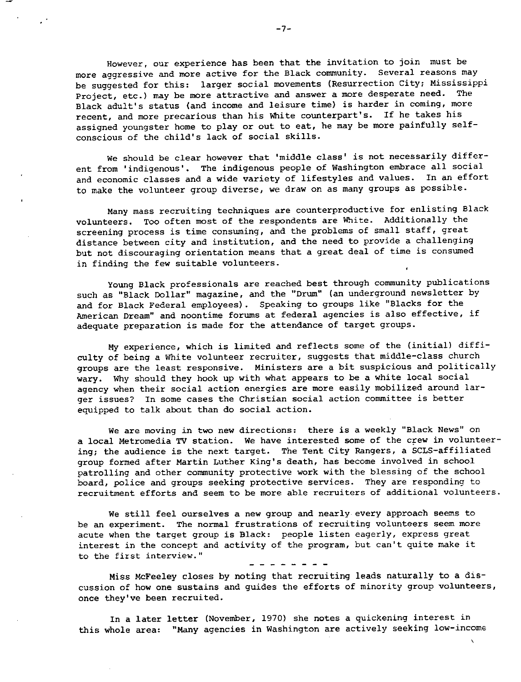However, our experience has been that the invitation to join must be more aggressive and more active for the Black community. Several reasons may be suggested for this: larger social movements (Resurrection City; Mississippi Project, etc.) may be more attractive and answer a more desperate need. Black adult's status (and income and leisure time} is harder in coming, more recent, and more precarious than his White counterpart's. If he takes his assigned youngster home to play or out to eat, he may be more painfully selfconscious of the child's lack of social skills.

we should be clear however that 'middle class' is not necessarily different from 'indigenous'. The indigenous people of Washington embrace all social and economic classes and a wide variety of lifestyles and values. In an effort to make the volunteer group diverse, we draw on as many groups as possible.

Many mass recruiting techniques are counterproductive for enlisting Black volunteers. Too often most of the respondents are White. Additionally the screening process is time consuming, and the problems of small staff, great distance between city and institution, and the need to provide a challenging but not discouraging orientation means that a great deal of time is consumed in finding the few suitable volunteers.

Young Black professionals are reached best through community publications such as "Black Dollar" magazine, and the "Drum" (an underground newsletter by and for Black Federal employees}. Speaking to groups like "Blacks for the American Dream" and noontime forums at federal agencies is also effective, if adequate preparation is made for the attendance of target groups.

My experience, which is limited and reflects some of the (initial) difficulty of being a White volunteer recruiter, suggests that middle-class church groups are the least responsive. Ministers are a bit suspicious and politically **wary.** Why should they hook up with what appears to be a white local social **agency when their social action energies are more easily mobilized around larger issues? In some cases the Christian social action committee is better**  equipped to talk about than do social action.

**We are moving in two new directions: there is a weekly "Black News" on**  a local Metromedia TV station. We have interested some of the crew in volunteering; the audience is the next target. The Tent City Rangers, a SCLS-affiliated group formed after Martin Luther King's death, has become involved in school patrolling and other community protective work with the blessing of the school board, police and groups seeking protective services. They are responding to recruitment efforts and seem to be more able recruiters of additional volunteers.

We still feel ourselves a new group and nearly every approach seems to **be an experiment. The normal frustrations of recruiting volunteers seem more**  acute when the target group is Black: people listen eagerly, express great interest in the concept and activity of the program, but can't quite make it **to the first interview."** 

Miss McFeeley closes by noting that recruiting leads naturally to a discussion of how one sustains and guides the efforts of minority group volunteers, **once they've been recruited.** 

In a later letter (November, 1970) she notes a quickening interest in this whole area: "Many agencies in Washington are actively seeking low-income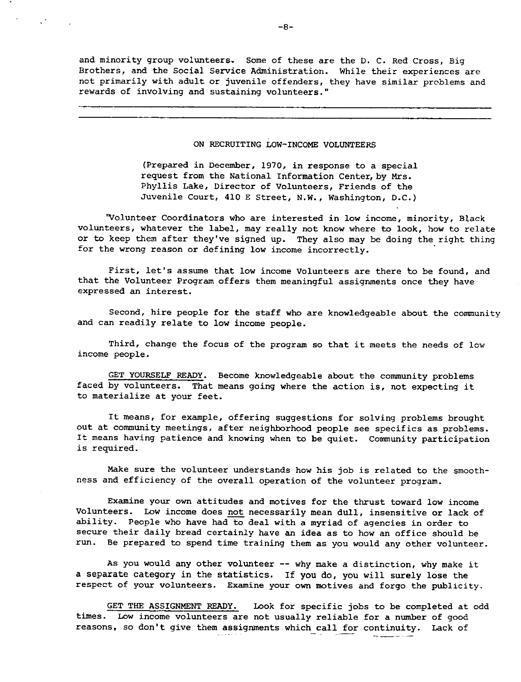and minority group volunteers. Some of these are the D. c. Red Cross, Big Brothers, and the Social Service Administration. While their experiences are not primarily with adult or juvenile offenders, they have similar problems and rewards of involving and sustaining volunteers."

# ON RECRUITING LOW-INCOME VOLUNTEERS

(Prepared in December, 1970, in response to a special request from the National Information Center,by Mrs. Phyllis Lake, Director of Volunteers, Friends of the Juvenile Court, 410 E Street, N.W., Washington, D.C.)

'Volunteer Coordinators who are interested in low income, minority, Black volunteers, whatever the label, may really not know where to look, how to relate or to keep them after they've signed up. They also may be doing the right thing for the wrong reason or defining low income incorrectly.

First, let's assume that low income Volunteers are there to be found, and that the Volunteer Program offers them meaningful assignments once they have expressed an interest.

Second, hire people for the staff who are knowledgeable about the community and can readily relate to low income people.

Third, change the focus of the program so that it meets the needs of low income people.

GET YOURSELF READY. Become knowledgeable about the community problems faced by volunteers. That means going where the action is, not expecting it to materialize at your feet.

It means, for example, offering suggestions for solving problems brought out at community meetings, after neighborhood people see specifics as problems. It means having patience and knowing when to be quiet. Community participation is required.

Make sure the volunteer understands how his job is related to the smoothness and efficiency of the overall operation of the volunteer program.

Examine your own attitudes and motives for the thrust toward low income Volunteers. Low income does not necessarily mean dull, insensitive or lack of ability. People who have had to deal with a myriad of agencies in order to secure their daily bread certainly have an idea as to how an office should be run. Be prepared to spend time training them as you would any other volunteer.

As you would any other volunteer -- why make a distinction, why make it a separate category in the statistics. If you do, you will surely lose the respect of your volunteers. Examine your own motives and forgo the publicity.

GET THE ASSIGNMENT READY. Look for specific jobs to be completed at odd times. Low income volunteers are not usually reliable for a number of good reasons, so don't give them assignments which call for continuity. Lack of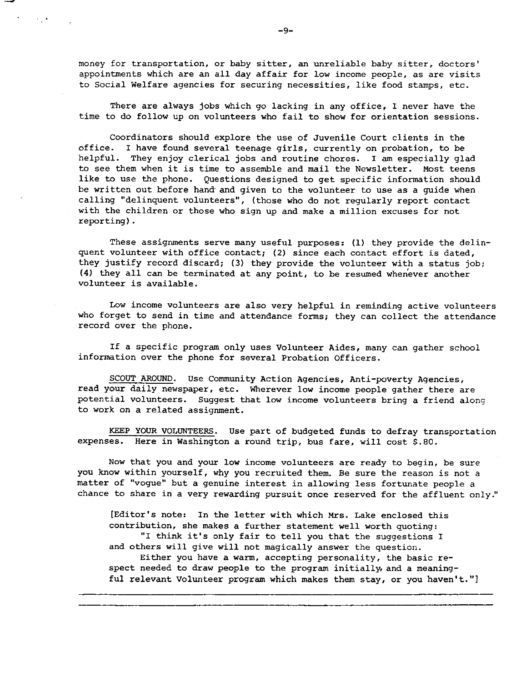**money for transportation, or baby sitter, an unreliable baby sitter, doctors'**  appointments which are an all day affair for low income people, as are visits to Social Welfare agencies for securing necessities, like food stamps, etc.

There are always jobs which go lacking in any office, I never have the time to do follow up on volunteers who fail to show for orientation sessions.

Coordinators should explore the use of Juvenile Court clients in the office. I have found several teenage girls, currently on probation, to be helpful. They enjoy clerical jobs and routine chores. I am especially glad to see them when it is time to assemble and mail the Newsletter. Most teens like to use the phone. Questions designed to get specific information should be written out before hand· and given to the volunteer to use as a guide when calling "delinquent volunteers", (those who do not regularly report contact with the children or those who sign up and make a million excuses for not reporting) .

These assignments serve many useful purposes: (1) they provide the delinquent volunteer with office contact; (2) since each contact effort is dated, they justify record discard; (3) they provide the volunteer with a status job; (4) they all can be terminated at any point, to be resumed when'ever another volunteer is available.

Low income volunteers are also very helpful in reminding active volunteers who forget to send in time and attendance forms; they can collect the attendance record over the phone.

If a specific program only uses Volunteer Aides, many can gather school information over the phone for several Probation Officers.

SCOUT AROUND. Use Community Action Agencies, Anti-poverty Agencies, read your daily newspaper, etc. Wherever low income people gather there are potential volunteers. Suggest that low income volunteers bring a friend along to work on a related assignment.

KEEP YOUR VOLUNTEERS. Use part of budgeted funds to defray transportation expenses. Here in Washington a round trip, bus fare, will cost \$.80.

Now that you and your low income volunteers are ready to begin, be sure you know within yourself, why you recruited them. Be sure the reason is not a **matter of 11 vogue 11 but a genuine interest in allowing less fortunate people a**  chance to share in a very rewarding pursuit once reserved for the affluent only."

[Editor's note: In the letter with which Mrs. Lake enclosed this contribution, she makes a further statement well worth quoting: "I think it's only fair to tell you that the suggestions I and others will give will not magically answer the question. Either you have a warm, accepting personality, the basic respect needed to draw people to the program initially, and a meaningful relevant Volunteer program which makes them stay, or you haven't."]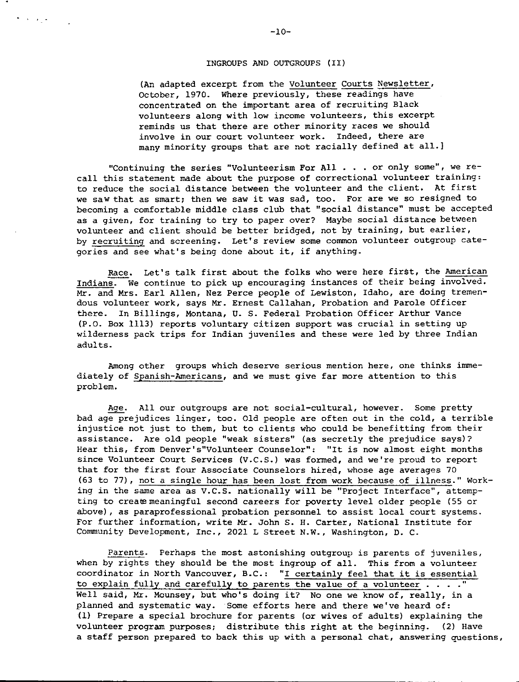## INGROUPS AND OUTGROUPS (II)

(An adapted excerpt from the Volunteer Courts Newsletter, October, 1970. Where previously, these readings have concentrated on the important area of recruiting Black volunteers along with low income volunteers, this excerpt reminds us that there are other minority races we should **involve in our court volunteer work. Indeed, there are**  many minority groups that are not racially defined at all.)

**"Continuing the series "Volunteerism For All . . . or only some", we re** call this statement made about the purpose of correctional volunteer training: to reduce the social distance between the volunteer and the client. At first **we saw that as smart; then we saw it was sad, too. For are we so resigned to**  becoming a comfortable middle class club that "social distance" must be accepted as a given, for training to try to paper over? Maybe social distance between volunteer and client should be better bridged, not by training, but earlier, **by recruiting and screening. Let's review some common volunteer outgroup cate**gories and see what's being done about it, if anything.

Race. Let's talk first about the folks who were here first, the American Indians. We continue to pick up encouraging instances of their being involved. Mr. and Mrs. Earl Allen, Nez Perce people of Lewiston, Idaho, are doing tremendous volunteer work, says Mr. Ernest Callahan, Probation and Parole Officer there. In Billings, Montana, u. s. Federal Probation Officer Arthur Vance (P.O. Box 1113) reports voluntary citizen support was crucial in setting up wilderness pack trips for Indian juveniles and these were led by three Indian adults.

Among other groups which deserve serious mention here, one thinks immediately of Spanish-Americans, and we must give far more attention to this problem.

Age. All our outgroups are not social-cultural, however. Some pretty bad age prejudices linger, too. Old people are often out in the cold, a terrible injustice not just to them, but to clients who could be benefitting from their assistance. Are old people "weak sisters" (as secretly the prejudice says)? **Hear this, from Denver's"Volunteer Counselor": "It is now almost eight months**  since Volunteer Court Services (V.C.S.) was formed, and we're proud to report that for the first four Associate Counselors hired, whose age averages 70 (63 to 77), not a single hour has been lost from work because of illness." Working in the same area as V.C.S. nationally will be "Project Interface", attempting to create meaningful second careers for poverty level older people (55 or above), as paraprofessional probation personnel to assist local court systems. For further information, write Mr. John S. H. Carter, National Institute for Community Development, Inc., 2021 L Street N.W., Washington, D. C.

Parents. Perhaps the most astonishing outgroup is parents of juveniles, when by rights they should be the most ingroup of all. This from a volunteer coordinator in North Vancouver, B.C.: "I certainly feel that it is essential to explain fully and carefully to parents the value of a volunteer  $\dots$ ." Well said, Mr. Mounsey, but who's doing it? No one we know of, really, in a planned and systematic way. Some efforts here and there we've heard of: (1) Prepare a special brochure for parents (or wives of adults) explaining the volunteer program purposes; distribute this right at the beginning. (2) Have a staff person prepared to back this up with a personal chat, answering questions,

 $\mathbf{A}^{(i)}\left(\mathbf{A}^{(i)}\right) = \mathbf{A}^{(i)}\left(\mathbf{A}^{(i)}\right) = \mathbf{A}^{(i)}\left(\mathbf{A}^{(i)}\right)$